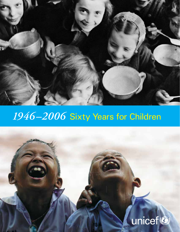

# *1946–2006* Sixty Years for Children

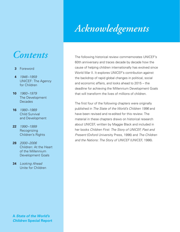## *Contents*

- **3** Foreword
- **4** *1946 –1959* UNICEF: The Agency for Children
- **10** *1960 –1979* The Development **Decades**
- **16** *1980 –1989* Child Survival and Development
- **22** *1990 –1999* **Recognizing** Children's Rights
- **28** *2000 –2006* Children: At the Heart of the Millennium Development Goals
- **34** *Looking Ahead* Unite for Children

The following historical review commemorates UNICEF's 60th anniversary and traces decade by decade how the cause of helping children internationally has evolved since World War II. It explores UNICEF's contribution against the backdrop of rapid global changes in political, social and economic affairs, and looks ahead to 2015 – the deadline for achieving the Millennium Development Goals that will transform the lives of millions of children.

The first four of the following chapters were originally published in *The State of the World's Children 1996* and have been revised and re-edited for this review. The material in these chapters draws on historical research about UNICEF, written by Maggie Black and included in her books *Children First: The Story of UNICEF, Past and Present* (Oxford University Press, 1996) and *The Children and the Nations: The Story of UNICEF* (UNICEF, 1986).

**A** *State of the World's Children* **Special Report**

# *Acknowledgements*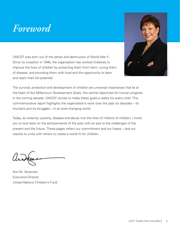# *Foreword*

UNICEF was born out of the ashes and destruction of World War II. Since its inception in 1946, the organization has worked tirelessly to improve the lives of children by protecting them from harm, curing them of disease, and providing them with food and the opportunity to learn and reach their full potential.



The survival, protection and development of children are universal imperatives that lie at the heart of the Millennium Development Goals, the central objectives for human progress in the coming decade. UNICEF strives to make these goals a reality for every child. This commemorative report highlights the organization's work over the past six decades – its triumphs and its struggles – in an ever-changing world.

Today, as violence, poverty, disease and abuse mar the lives of millions of children, I invite you to look back on the achievements of the past with an eye to the challenges of the present and the future. These pages reflect our commitment and our hopes – and our resolve to unite with others to create a world fit for children.

Ann M. Veneman Executive Director United Nations Children's Fund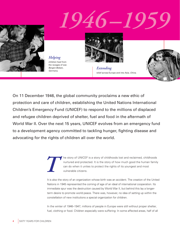# *1946–1959*



*Helping* children heal from the ravages of war. *Bergen-Belsen, Germany.*



*Extending* relief across Europe and into Asia. *China.* 



On 11 December 1946, the global community proclaims a new ethic of protection and care of children, establishing the United Nations International Children's Emergency Fund (UNICEF) to respond to the millions of displaced and refugee children deprived of shelter, fuel and food in the aftermath of World War II. Over the next 15 years, UNICEF evolves from an emergency fund to a development agency committed to tackling hunger, fighting disease and advocating for the rights of children all over the world.

> he story of UNICEF is a story of childhoods lost and reclaimed, childhoods nurtured and protected. It is the story of how much good the human family can do when it unites to protect the rights of its youngest and most vulnerable citizens.

It is also the story of an organization whose birth was an accident. The creation of the United Nations in 1945 represented the coming of age of an ideal of international cooperation. Its immediate spur was the destruction caused by World War II, but behind this lay a longerterm desire to promote world peace. There was, however, no idea of setting up within the constellation of new institutions a special organization for children.

In the winter of 1946–1947, millions of people in Europe were still without proper shelter, fuel, clothing or food. Children especially were suffering: In some affected areas, half of all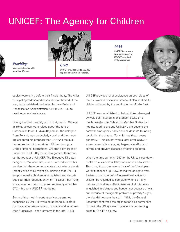# UNICEF: The Agency for Children



*1948* UNICEF provides aid to 500,000 displaced Palestinian children.

### *1953*

UNICEF becomes a permanent agency. *UNICEF-supplied milk, Guatemala.*

© UNICEF/HQ50-0057



*Providing* assistance begins with

babies were dying before their first birthday. The Allies, anticipating widespread devastation at the end of the war, had established the United Nations Relief and Rehabilitation Administration (UNRRA) in 1943 to provide general assistance.

During the final meeting of UNRRA, held in Geneva in 1946, voices were raised about the fate of Europe's children. Ludwik Rajchman, the delegate from Poland, was particularly vocal, and the meeting accepted his proposal that UNRRA's residual resources be put to work for children through a United Nations International Children's Emergency Fund – an 'ICEF'. Rajchman is regarded, therefore, as the founder of UNICEF. The Executive Director designate, Maurice Pate, made it a condition of his service that there be no caveats about where the aid (mostly dried milk) might go, insisting that UNICEF support equally children in vanquished and victorious countries. Subsequently, on 11 December 1946, a resolution of the UN General Assembly – number 57(I) – brought UNICEF into being.

Some of the most important early programmes supported by UNICEF were established in Eastern European countries – Poland, Romania and what was then Yugoslavia – and Germany. In the late 1940s,

UNICEF provided relief assistance on both sides of the civil wars in China and Greece. It also sent aid to children affected by the conflict in the Middle East.

UNICEF was established to help children damaged by war. But it stayed in existence to take on a much broader role. While UN Member States had not intended to prolong UNICEF's life beyond the postwar emergency, they did include in its founding resolution the phrase "for child health purposes generally." This caveat would later offer UNICEF a permanent role managing large-scale efforts to control and prevent diseases affecting children.

When the time came in 1950 for the UN to close down its 'ICEF', a successful lobby was mounted to save it. This time, it was the new nations of the 'developing world' that spoke up. How, asked the delegate from Pakistan, could the task of international action for children be regarded as complete when so many millions of children in Africa, Asia and Latin America languished in sickness and hunger, not because of war, but because of the age-old problem of poverty? Again, the plea did not go unheard: In 1953, the General Assembly confirmed the organization as a permanent fixture in the UN system. This was the first turning point in UNICEF's history.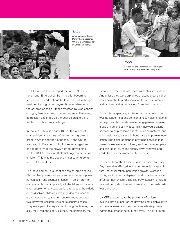

*1954*

American entertainer Danny Kaye becomes UNICEF's 'Ambassador at Large'. *Thailand.*



### *1959*

UN adopts the Declaration of the Rights of the Child. *A tuberculosis test, India.*

UNICEF at this time dropped the words 'International' and 'Emergency' from its title, becoming simply the United Nations Children's Fund (although retaining its original acronym). It never abandoned the children of crisis  $-$  those affected by war, conflict, drought, famine or any other emergency. However, its mission expanded as the post-colonial era presented it with a new challenge.

In the late 1950s and early 1960s, the winds of change blew away most of the remaining colonial order in Africa and the Caribbean. At the United Nations, US President John F. Kennedy urged an end to poverty in the newly named 'developing world'. UNICEF took up that challenge on behalf of children. This was the second major turning point in UNICEF's history.

The 'development' era redefined the children's cause. Children had previously been seen as objects of purely humanitarian and charitable concern – as children in distress or children in poverty – to be taken into care or given supplementary support. Like refugees, the elderly or the disabled, children were regarded as a special group. According to the new development perspective, however, children were not a separate cause: They were part of every cause. Among the hungry, the sick, the ill-fed, the poorly clothed, the homeless, the

illiterate and the destitute, there were always children. And unless they were orphaned or abandoned, children could never be treated in isolation from their parents and families, and especially not from their mothers.

From this perspective, a mission on behalf of children was no longer neat and self-contained. Helping nations to help their children demanded engagement in many areas of human activity. It certainly involved creating services to help children directly, such as maternal and child health care, early childhood care and primary education. But it also demanded providing services that were not exclusive to children, such as water supplies and sanitation, slum and shanty town renewal, and credit facilities for women entrepreneurs.

The same breadth of concern also extended to policy. Any issue that affected whole communities – agriculture, industrialization, population growth, women's rights, environmental depletion and urbanization – also affected their children. The list grew steadily to include national debt, structural adjustment and the post-coldwar transition.

UNICEF's response to the problems of children evolved into a subset of the growing post-colonial drive for development and the quest to eradicate poverty. Within this broader pursuit, however, UNICEF argued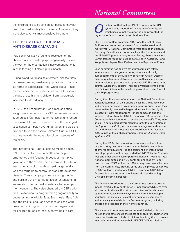### *National Committees*

that children had to be singled out because they suffered the most acutely from poverty. As a result, they were also poverty's most sensitive barometer.

### THE 1950s: ERA OF THE MASS ANTI-DISEASE CAMPAIGN

Inclusion in UNICEF's founding resolution of the phrase "for child health purposes generally" paved the way for the organization's involvement not only in child feeding but also in public health.

During World War II and its aftermath, disease rates had soared among weakened populations. In particular, forms of tuberculosis – the 'white plague' – had reached epidemic proportions. In Poland, for example, the rate of death among children from tuberculosis increased fourfold during the war.

In 1947, the Scandinavian Red Cross societies sought assistance from UNICEF for an International Tuberculosis Campaign to immunize all uninfected European children. This was to be both the largest vaccination campaign ever undertaken and also the first one to use the bacille Calmette-Guérin (BCG) vaccine outside the controlled circumstances of the clinic.

The International Tuberculosis Campaign began UNICEF's involvement in health care beyond emergency child feeding. Indeed, as the 1940s gave way to the 1950s, the predominant motif in international public health campaigns generally was the struggle to control or eradicate epidemic disease. These campaigns were among the first, and certainly the most spectacular, extensions of war-related international assistance to development concerns. They also changed UNICEF's priorities – extending its programmes geographically to countries in the Middle East, South Asia, East Asia and the Pacific, and Latin America and the Caribbean, and shifting its focus from emergency aid for children to long-term preventive health care.

**O** ne feature that makes UNICEF unique in the UN system is its network of 37 National Committees which has staunchly supported and promoted the organization's work to improve children's lives. system is its network of 37 National Committees, which has staunchly supported and promoted the organization's work to improve children's lives.

The US Committee, created in 1947, was the first of these. As European countries recovered from the devastation of World War II, National Committees were formed in Belgium, Germany, Scandinavian countries, Italy, the Netherlands and the United Kingdom, among others. Today, there are National Committees throughout Europe as well as in Australia, Hong Kong, Israel, Japan, New Zealand and the Republic of Korea.

Each committee has its own structure: some are totally independent of their governments; others are virtually sub-departments of the Ministry of Foreign Affairs. Despite their unique features, all National Committees share a common mission: to promote and represent UNICEF's voice in the country where they operate, increase awareness of the situation facing children in the developing world and raise funds for UNICEF programmes.

During their first years of operation, the National Committees concentrated most of their efforts on selling Christmas cards and creating networks of volunteer support groups. Later, they became deeply involved in larger drives, such as the highly successful 1959 Freedom from Hunger campaign and the famous Trick-or-Treat for UNICEF campaign. More recently, the Committees have continued to evolve and diversify. They were crucial in persuading governments to ratify the Convention on the Rights of the Child, led the movement against anti-personnel land mines and, most recently, coordinated the October 2005 launch of the global campaign *Unite for Children. Unite against AIDS*.

During the 1990s, the increasing prominence of the voluntary and non-governmental sector, coupled with an outbreak of emergency situations, led to a substantial increase in the overall proportion of funds provided to UNICEF by the Committees and other private sector partners. Between 1990 and 1992, National Committee and NGO contributions rose by 40 per cent, or over US\$80 million. In 1994, non-governmental income from the Committees, greeting cards and the private sector was US\$327 million out of a total UNICEF income of US\$1 billion. As a result, at a time when multilateral aid was dwindling, UNICEF's income increased.

The financial contribution of the Committees remains crucial. Indeed, by 2005, they contributed 37 per cent of UNICEF's overall income. And while the primary recipients of funds raised by the Committees have always been children in developing countries, the beneficiaries of their imaginative campaigns and advocacy materials form a far broader group, including children and teachers in their home countries.

teer their time and money to help UNICEF fulfil its mission. The National Committees are committed, indefatigable partners in the fight to ensure the rights of all children. Their efforts reach the hearts and minds of millions, inspiring them to volun-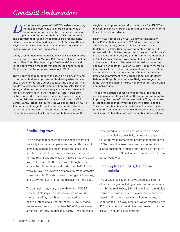**D**uring the early years of UNICEF's existence, raising<br>funds and awareness of children's plight was of<br>paramount importance if the organization was to<br>make a palpable difference to their lives. The commitment funds and awareness of children's plight was of paramount importance if the organization was to make a palpable difference to their lives. The commitment and optimism that fuelled those first years brought many talented, resourceful individuals to UNICEF's cause. Danny Kaye, a famous US actor and comedian, was possibly the best known of these early advocates.

Danny's recruitment was the result of a chance encounter with then Executive Director Maurice Pate aboard a flight from London to New York. The plane caught fire in mid-Atlantic and, in the hours while it made its way back to Ireland for repairs, Maurice Pate spoke to Danny Kaye about UNICEF.

The actor, whose reputation was based on his uncanny ability to make children laugh, was enthralled by what he heard and, a few months later, agreed to take time out of an Asian holiday to visit some health and nutrition projects. The idea emerged that he should take along a camera and crew and film his encounters with the children of Asia. Paramount Pictures offered to underwrite the project, release the film commercially and donate the picture's profits to UNICEF. Before Danny left on his journey, he was appointed UNICEF's Ambassador at Large. It was the first diplomatic mission of its kind, and the film - Assignment Children - became a resounding success. It set Danny en route to becoming the

single most important celebrity to advocate for UNICEF's mission, making the organization a household name for millions of people worldwide.

Danny Kaye served as UNICEF Goodwill Ambassador from 1953 until his death in 1987. Many other celebrities – musicians, actors, athletes – have followed in his footsteps. Sir Peter Ustinov was appointed a Goodwill Ambassador in 1968 and served with passion until his death in 2004. Liv Ullmann became the first woman Ambassador in 1980. Audrey Hepburn was appointed in the late 1980s and traveled widely to famine-stricken African countries. Following her death in 1993, an Audrey Hepburn Memorial Fund was set up to benefit African children in crisis. Other distinguished artists who have contributed their talent, time and commitment to the organization include Harry Belafonte, Roger Moore, Vanessa Redgrave, Angelique Kidjo, David Beckham, Shakira, Roger Federer, Jackie Chan and many others.

These gifted artists possess a wide range of talents and achievements, but they all share the same commitment to improving the lives of children worldwide. They can make direct appeals to those with the power to effect change. They use their talents and fame to raise funds, advocate for children and support UNICEF's mission to ensure every child's right to health, education, equality and protection.

### Eradicating yaws

The disease that succumbed earliest and most dramatically to a mass campaign was yaws. This painful condition, spread by a microorganism, could lead to total disability. It was found in tropical, poor and remote rural areas and was contracted through broken skin. In the early 1950s, there were thought to be around 20 million cases worldwide, over half of which were in Asia. The invention of penicillin made dramatic cures possible. One shot cleared the ugly pink lesions, and a few more eliminated the disease from the body.

The campaign against yaws with which UNICEF was most closely involved was in Indonesia. Mobile teams of lay health workers located cases, and health professionals treated them. By 1955, these teams were treating more than 100,000 yaws cases a month. Similarly, in Thailand, nearly 1 million cases were cured, and full eradication of yaws in Asia became a distinct possibility. Yaws campaigns continued to make remarkable progress thoughout the 1950s. Few diseases have been subjected to such a large onslaught in such a short period of time. By the end of 1958, 30 million cases of yaws had been cured worldwide.

### Fighting tuberculosis, trachoma and malaria

The virtual eradication of yaws acted as a spur to other campaigns, including a new one for tuberculosis. By the mid-1950s, 3.5 million children worldwide were tested for tuberculosis every month and more than 1 million were vaccinated. Trachoma, too, was under attack. This eye infection, which affected up to 400 million people worldwide, was treated on a mass scale with an antibiotic ointment.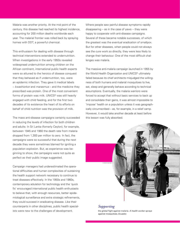Malaria was another priority. At the mid point of the century, this disease had reached its highest incidence, accounting for 200 million deaths worldwide each year. The malarial frontier was rolled back by spraying homes with DDT, a powerful chemical.

This enthusiasm for dealing with disease through technical interventions extended to undernutrition. When investigations in the early 1950s revealed widespread undernutrition among children on the African continent, international public health experts were so attuned to the heroics of disease conquest that they behaved as if undernutrition, too, were an epidemic infection. They gave it medical labels – *kwashiorkor* and *marasmus* – and the medicine they prescribed was protein. One of the most convenient forms of protein was milk. UNICEF was still heavily engaged with child feeding, and for the first two decades of its existence the heart of its efforts on behalf of child nutrition was the provision of milk.

The mass anti-disease campaigns certainly succeeded in reducing the levels of infection for both children and adults: In Sri Lanka (fomerly Ceylon), for example, between 1945 and 1960 the death rate from malaria dropped from 1,300 per million to zero. In fact, the campaigns were so successful that during the next decade they were sometimes blamed for igniting a population explosion. But, as experience was beginning to show, the campaigns were not quite as perfect as their public image suggested.

Campaign managers had underestimated the operational difficulties and human complexities of sustaining the health support network necessary to continue to treat diseases effectively. In the 1950s and 1960s, contemporary adulation for technology and the 'quick fix' encouraged international public health enthusiasts to believe that, with enough resources, better epidemiological surveillance and extra strategic refinements, they could succeed in eradicating disease. Like their counterparts in other disciplines, public health specialists were new to the challenges of development.

Where people saw painful disease symptoms rapidly disappearing -- as in the case of yaws -- they were happy to cooperate with anti-disease campaigns. Several of these became notable successes, of which the greatest was the eventual eradication of smallpox. But for other diseases, when people could not always see the cure work so directly, they were less likely to change their behaviour. One of the most difficult challenges was malaria.

The massive anti-malaria campaign launched in 1955 by the World Health Organization and UNICEF ultimately failed because its chief architects misjudged the willingness of both humans and malarial mosquitoes to live, eat, sleep and generally behave according to technical assumptions. Eventually, the malaria warriors were forced to accept that without basic services to back up and consolidate their gains, it was almost impossible to 'impose' health on a population unless it was geographically circumscribed – as, for example, in a relief camp. However, it would take another decade at least before this lesson was fully absorbed.



*Supporting* the global fight against malaria. A health worker sprays *against mosquitoes, Ecuador.* 

 $\mathcal{S}_\mathcal{S}$  is the children group of  $\mathcal{S}_\mathcal{S}$  is the children group of  $\mathcal{S}_\mathcal{S}$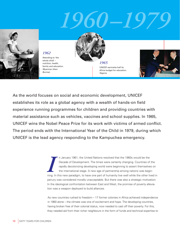# *1960–1979*



*1962*  Attending to 'the whole child' – nutrition, health, family and education. *Myanmar (then Burma).* 



UNICEF earmarks half its Africa budget for education. *Nigeria.* 



As the world focuses on social and economic development, UNICEF establishes its role as a global agency with a wealth of hands-on field experience running programmes for children and providing countries with material assistance such as vehicles, vaccines and school supplies. In 1965, UNICEF wins the Nobel Peace Prize for its work with victims of armed conflict. The period ends with the International Year of the Child in 1979, during which UNICEF is the lead agency responding to the Kampuchea emergency.

> **II** I anuary 1961, the United Nations resolved that the 1960s would be the Decade of Development. The times were certainly changing. Countries of the rapidly decolonizing developing world were beginning to assert themselv n January 1961, the United Nations resolved that the 1960s would be the Decade of Development. The times were certainly changing. Countries of the rapidly decolonizing developing world were beginning to assert themselves on the international stage. A new age of partnership among nations was beginpenury was considered morally unacceptable. But there was also a strategic motivation: In the ideological confrontation between East and West, the promise of poverty alleviation was a weapon deployed to build alliances.

> As new countries rushed to freedom – 17 former colonies in Africa achieved independence in 1960 alone – the climate was one of excitement and hope. The developing countries, having broken free of their colonial status, now needed to cast off their poverty. For this, they needed aid from their richer neighbours in the form of funds and technical expertise to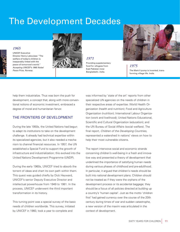## The Development Decades



### *1965*

UNICEF Executive Director Henry Labouisse: "The welfare of today's children is inseparably linked with the peace of tomorrow's world." *Accepting UNICEF's 1965 Nobel Peace Prize, Norway.* 



*1971* Providing supplementary food for refugees from East Pakistan (now Bangladesh). *India.*



*1975* The Mark II pump is invented, transforming village life. *India.*

help them industrialize. Thus was born the push for development, a concept that, along with more conventional notions of economic investment, embraced a degree of moral and humanitarian fervor.

### THE FRONTIERS OF DEVELOPMENT

During the late 1950s, the United Nations had begun to adapt its institutions to take on the development challenge. It already had technical expertise within its specialized agencies, but it also needed a mechanism to channel financial resources. In 1957, the UN established a Special Fund to support the growth of infrastructure and industrialization; this evolved into the United Nations Development Programme (UNDP).

During the early 1960s, UNICEF tried to absorb the torrent of ideas and chart its own path within them. This quest was guided chiefly by Dick Heyward, UNICEF's senior Deputy Executive Director and intellectual powerhouse from 1949 to 1981. In the process, UNICEF underwent the third important transformation in its history.

This turning point was a special survey of the basic needs of children worldwide. This survey, initiated by UNICEF in 1960, took a year to complete and

was informed by 'state of the art' reports from other specialized UN agencies on the needs of children in their respective areas of expertise: World Health Organization (health and nutrition); Food and Agriculture Organization (nutrition); International Labour Organization (work and livelihood); United Nations Educational, Scientific and Cultural Organization (education); and the UN Bureau of Social Affairs (social welfare). The final report, *Children of the Developing Countries*, represented a watershed in nations' views on how to help their most vulnerable citizens.

The report interwove social and economic strands concerning children's well-being in a fresh and innovative way and presented a theory of development that underlined the importance of satisfying human needs during various phases of childhood and pre-adulthood. In particular, it argued that children's needs should be built into national development plans. Children should not be treated as if they were the orphans of the development process or its accidental baggage; they should be a focus of all policies directed at building up a country's 'human capital'. Just as the motto 'children first' had gained currency over the course of the 20th century during times of war and sudden catastrophe, a new version of the maxim was articulated in the context of development.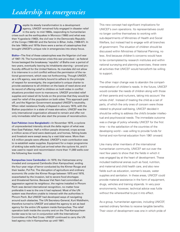### *Leadership in emergencies*

**Despite its steady transformation to a development**<br>agency, UNICEF remained fully engaged in disaster reli<br>in the early- to mid-1960s, responding to humanitarian<br>crises such as the earthquakes in Morocco (1960) and what w agency, UNICEF remained fully engaged in disaster relief in the early- to mid-1960s, responding to humanitarian then Yugoslavia (1963), the civil war in the Democratic Republic of the Congo (1960-62) and the famine in Bihar, India, (1966-67). In the late 1960s and 1970s there were a series of catastrophes that brought UNICEF's unique role in emergencies into sharp focus.

**Biafra—**The first of these catastrophes was the Nigerian civil war of 1967–70. The humanitarian crisis this war provoked – as federal forces besieged the breakaway 'republic' of Biafra over a period of two years, eventually leaving its inhabitants starving – proved profoundly difficult for the United Nations. Its mandate did not allow it to intervene in a civil conflict without the permission of the national government, which was not forthcoming. Though UNICEF, as a UN agency, was similarly bound to adhere to the principle of respect for sovereignty, the organization's unique charter to provide assistance to all children on the basis of need alone and its record of offering relief to children on both sides in conflict situations provided room to manoeuvre. UNICEF provided relief supplies and raised all its funds on the promise that they would be used for relief of the population on both sides. This approach paid off, and the Nigerian Government accepted UNICEF's neutrality. When rebel resistance finally collapsed in January 1970, with the Biafran population in a state of mass starvation, UNICEF was the only international organization allowed to remain and offer not only immediate relief but also start the process of reconstruction.

**East Pakistan (now Bangladesh)—**In November 1970, a cyclone of unprecedented intensity struck the delta region of what was then East Pakistan. Half a million people drowned, crops across a million acres of land were destroyed, and homes, fishing boats and livestock were swept away by a vast tidal wave. More than 4.5 million people were affected. UNICEF's main contribution was to re-establish water supplies. Equipment for a major programme of sinking tube wells had just arrived when the cyclone hit, and it was used to repair and recommission more than 11,000 wells over the following few months.

lead agency role in Kampuchea up until 1981. **Kampuchea (now Cambodia)—**In 1979, the Vietnamese army invaded and conquered Cambodia (then Kampuchea), ending the four-year reign of terror conducted by the Khmer Rouge and their leader, Pol Pot. The disruption of agriculture and ordinary economic life under the Khmer Rouge between 1975 and 1978, exacerbated by the invasion, led to severe food shortages and threatened famine. Because Viet Nam had committed an aggression against its neighbour, the regime installed in Phnom Penh was denied international recognition, no matter how preferable it was to the one it had replaced. Most of the UN system was therefore unable to interact with the authorities in Phnom Penh. But UNICEF had developed ways of navigating around such obstacles. The UN Secretary-General, Kurt Waldheim, therefore turned to UNICEF and asked the agency to act as lead agency for the entire UN system inside Kampuchea. The relief operation both inside the country and on the Thai-Kampuchean border was to be run in conjunction with the International Committee of the Red Cross. UNICEF continued to carry the UN

This new concept had significant implications for UNICEF's own operations. Its representatives could no longer confine themselves to working with sub-departments of Ministries of Health and Social Welfare, but instead had to engage with all branches of government. The situation of children should be discussed within Ministries of National Planning, no less. And because children's concerns would have to be contemplated by research institutes and within national surveying and planning exercises, these were all activities that UNICEF would henceforth be willing to support.

The other major change was to abandon the compartmentalization of children's needs. In the future, UNICEF would consider the needs of children along with those of their parents and nurturers, taking into account 'the whole child'. Instead of treating the child as a set of parts, of which the only ones of concern were those related to physical well-being, UNICEF decided it should be willing to address the child's broader intellectual and psychosocial needs. The immediate outcome was a change of policy whereby UNICEF for the first time – to the satisfaction of the countries of the developing world – was willing to provide funds for formal and non-formal education from 1961 onward.

Like many other members of the international humanitarian community, UNICEF set out over the next few years to show that the fields in which it was engaged lay at the heart of development. These included traditional arenas such as food, nutrition, and maternal and child health care, and also new fields such as education, women's issues, water supplies and sanitation. In these areas, UNICEF could provide material assistance in the form of equipment, drugs, vehicles and training stipends. In very poor environments, however, technical advice was futile without the wherewithal to put it into effect.

As a group, humanitarian agencies, including UNICEF, wanted ordinary families to receive tangible benefits. Their vision of development was one in which pride of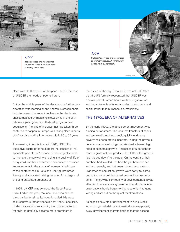

### *1977*

Basic services and non-formal education reach the urban poor. *A shanty town, Peru.* 

### *1978*

Children's services are recognized as women's issues. *A community handpump, Bangladesh.*



place went to the needs of the poor – and in the case of UNICEF, the needs of poor children.

But by the middle years of the decade, one further consideration was looming on the horizon. Demographers had discovered that recent declines in the death rate unaccompanied by matching slowdowns in the birth rate were playing havoc with developing countries' populations. The kind of increase that had taken three centuries to happen in Europe was taking place in parts of Africa, Asia and Latin America within 50 to 75 years.

At a meeting in Addis Ababa in 1966, UNICEF's Executive Board opted to support the concept of 'responsible parenthood', whose primary objective was to improve the survival, well-being and quality of life of every child, mother and family. The concept embraced improvements in the status of women (a harbinger of the conferences in Cairo and Beijing), promoted literacy and advocated raising the age of marriage and avoiding unwanted pregnancies.

In 1965, UNICEF was awarded the Nobel Peace Prize. Earlier that year, Maurice Pate, who had led the organization since its inception, died. His place as Executive Director was taken by Henry Labouisse. Under his careful stewardship, the UN's organization for children gradually became more prominent in

the issues of the day. Even so, it was not until 1972 that the UN formally recognized that UNICEF was a development, rather than a welfare, organization and began to review its work under its economic and social, rather than humanitarian, machinery.

### THE 1970s: ERA OF ALTERNATIVES

By the early 1970s, the development movement was running out of steam. The idea that transfers of capital and technical know-how would quickly end gross poverty had been proved incorrect. During the previous decade, many developing countries had achieved high rates of economic growth – increases of 5 per cent or more in gross national product – but little of this growth had 'trickled down' to the poor. On the contrary, their numbers had swelled – as had the gap between rich and poor people, and between rich and poor nations. High rates of population growth were partly to blame, but so too were policies based on simplistic assumptions. The growing community of development analysts attached to universities, governments and international organizations busily began to diagnose what had gone wrong and set out on the quest for alternatives.

So began a new era of development thinking. Since economic growth did not automatically sweep poverty away, development analysts decided that the second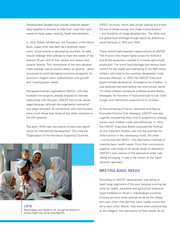Development Decade must include initiatives deliberately targeted to the poor to help them meet their basic needs for food, water, housing, health and education.

In 1972, Robert McNamara, the President of the World Bank, made what was seen as a landmark statement. Governments in developing countries, he said, should redesign their policies to meet the needs of the poorest 40 per cent of their people and relieve their poverty directly. The cornerstone of the new development strategy was an explicit attack on poverty – albeit structured to avoid damaging economic prospects. Its economic slogans were 'redistribution with growth' and 'meeting basic needs'.

Non-governmental organizations (NGOs), with their localized mini-projects, already enjoyed an intimate relationship with the poor. UNICEF had similar advantages because, although the organization worked at one stage removed, its connections with communities were much closer than those of any other institution in the UN hierarchy.

The early 1970s saw two events of particular significance for international development. One was the Organization of the Petroleum Exporting Countries



14 SIXTY YEARS FOR CHILDREN

*1978* World leaders vow 'Health for All' through the delivery of primary health care. *Syrian Arab Republic.*

(OPEC) oil shock, which sent prices soaring and ended the era of cheap energy and cheap industrialization – and therefore of cheap development. The other was the global food shortage brought about by disastrous world harvests in 1972 and 1974.

These events had important repercussions at UNICEF. The oil price hike meant higher prices for fertilizers and all the equipment needed to increase agricultural production. The world food shortage had serious implications for the health and well-being of the 500 million children who lived in the countries designated 'most seriously affected'. In 1974, the UNICEF Executive Board formally declared an 'Emergency for Children'. It was believed that even before the crisis struck, some 10 million children worldwide suffered severe dietary shortages. As the price of food continued to rise, child hunger and malnutrition were bound to increase.

At the prompting of Henry Labouisse and Deputy Executive Director Dick Heyward, UNICEF was also urgently considering what kind of programme strategy would reach children most cost-effectively. In 1975, the UNICEF Executive Board reviewed the findings of two important studies: one into the priorities for child nutrition in the developing world, the other -- conducted with WHO -- into alternative methods of meeting basic health needs. From their conclusions, together with those of an earlier study on education, UNICEF's own version of the alternative order was rapidly emerging. It was to be known as the 'basic services' approach.

### MEETING BASIC NEEDS

According to UNICEF, development was failing to reach large segments of the poor because existing services for health, education and agricultural extension were modelled on those in industrialized countries. Existing services rarely reached as far as the village, and even when they did they were usually unconnected to each other. Worse, they were often unconnected to the villagers' own perception of their needs. As an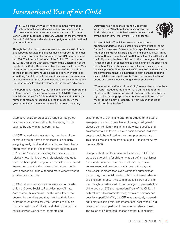## *International Year of the Child*

In 1973, as the UN was trying to rein in the number of<br>
international years, decades and anniversaries and the<br>
costly international conferences associated with them,<br>
Canon Joseph Moerman, Secretary-General of the Interna n 1973, as the UN was trying to rein in the number of international years, decades and anniversaries and the costly international conferences associated with them, Catholic Child Bureau, decided to campaign for an international year for children.

Though the initial response was less than enthusiastic, intensive lobbying resulted in a critical mass of support for the idea from non-governmental organizations and UN member states by 1976. The International Year of the Child (IYC) was set for 1979, the year of the 20th anniversary of the Declaration of the Rights of the Child. Three main objectives were set for the Year: all countries should make a fresh appraisal of the situation of their children; they should be inspired to new efforts to do something for children whose situations needed improvement; and wealthier countries should increase their aid contributions for those whose level of development was far less advanced.

As preparations intensified, the idea of a year commemorating children began to catch on. A network of 85 NGOs formed a special committee for IYC in mid-1977. By the end of 1979 the number of members reached into the thousands. On the government side, the response was just as overwhelming.

Optimists had hoped that around 50 countries would set up IYC national commissions; by mid-April 1978, more than 70 had already done so; and by the end of 1979, there were 148 in existence.



As part of their IYC activities, several national governments undertook studies of their children's situation, some for the first time ever. Others examined specific issues such as nutritional status (China, Haiti and Oman); polio (Malawi); immunization (Bhutan); street children (Colombia); orphans (Chad and the Philippines); 'latchkey' children (UK); and refugee children (Finland). Some ran campaigns to get children off the streets and into school (Ghana, Kenya) and some focused on care for the handicapped (Viet Nam, Republic of Korea). IYC media events ran the gamut from films to exhibitions to giant banners to sophisticated telethons and gala events. Taken as a whole, the list of efforts and achievements is long and comprehensive.

"The International Year of the Child," wrote Henry Labouisse in a report issued at the end of 1979 on the situation of children in the developing world, "was not intended to be a high point on the graph of our concern for children. It was meant to be a point of departure from which that graph would continue to rise."

alternative, UNICEF proposed a range of integrated basic services that would be flexible enough to be adapted by and within the community.

UNICEF trained and motivated lay members of the community to perform simple tasks such as baby weighing, early childhood stimulation and basic handpump maintenance. These volunteers could thus act as 'barefoot' workers delivering local services. The relatively few highly trained professionals who up to then had been performing routine activities were freed instead to supervise the cadres of volunteers. In this way, services could be extended more widely without exorbitant extra costs.

In 1978, at an international conference in Alma Ata, Union of Soviet Socialist Republics (now Almaty, Kazakhstan), Ministers of Health from all over the developing world agreed that their health delivery systems must be radically restructured to provide 'primary health care' (PHC) for all their citizens. The critical service was care for mothers and

children before, during and after birth. Added to this were emergency first aid, surveillance of young child growth, disease control, family planning, safe water supplies and environmental sanitation. As with basic services, ordinary people would be enlisted in their own preventive care. This radical vision set an ambitious goal, 'Health for All by the Year 2000'.

During the first two Development Decades, UNICEF had argued that working for children was part of a much larger social and economic movement. But this emphasis on development and on other great issues of the day had a drawback. It meant that, even within the humanitarian community, the special needs of childhood were in danger of being submerged. Anxious to project children back into the limelight, child-related NGOs managed to persuade the UN to declare 1979 the International Year of the Child. Initially reluctant to commit its energies to a celebratory and possibly superficial affair, UNICEF was eventually persuaded to play a leading role. The International Year of the Child proved far from superficial: It was a remarkable success. The cause of children had reached another turning point.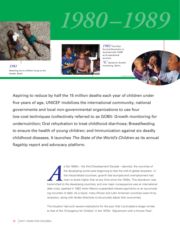

*1981* Reaching out to children living on the streets. *Brazil.*

# *1980–1989*



*1982* The Child Survival Revolution is launched with 'GOBI' as its operational acronym.

*'G'* stands for Growth monitoring. *Benin.*



Aspiring to reduce by half the 15 million deaths each year of children under five years of age, UNICEF mobilizes the international community, national governments and local non-governmental organizations to use four low-cost techniques (collectively referred to as GOBI): Growth monitoring for undernutrition; Oral rehydration to treat childhood diarrhoea; Breastfeeding to ensure the health of young children; and Immunization against six deadly childhood diseases. It launches *The State of the World's Children* as its annual flagship report and advocacy platform.

> <sup>4</sup>s the 1980s – the third Development Decade – dawned, the countries of<br>the developing world were beginning to feel the chill of global recession.<br>the industrialized countries, growth had slumped and unemployment had<br>rise the developing world were beginning to feel the chill of global recession. In the industrialized countries, growth had slumped and unemployment had risen to levels higher than at any time since the 1930s. This slowdown was transmitted to the developing countries, and one major consequence was an international debt crisis, sparked in 1982 when Mexico suspended interest payments on an accumulating mountain of debt. As a result, many African and Latin American countries were hit by recession, along with lender directives to structurally adjust their economies.

The situation had such severe implications for the poor that it prompted a slogan similar to that of the 'Emergency for Children' in the 1970s: 'Adjustment with a Human Face'.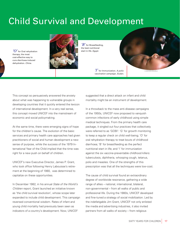## Child Survival and Development

*'O'* for Oral rehydration therapy, the most cost-effective way to cure diarrhoea-induced dehydration. *China.* 



*'B'* for Breastfeeding, the best nutritional start in life. *Egypt.* 

*'I'* for Immunization. *A polio vaccination campaign, Sudan.* 



This concept so persuasively answered the anxiety about what was happening to vulnerable groups in developing countries that it quickly entered the lexicon of international development. In a very real sense, this concept moved UNICEF into the mainstream of economic and social policymaking.

At the same time, there were emerging signs of hope for the children's cause. The evolution of the basic services and primary health care approaches had given practitioners of social and human development a new sense of purpose, while the success of the 1979 International Year of the Child implied that the time was right for a new push on behalf of children.

UNICEF's new Executive Director, James P. Grant, who took office following Henry Labouisse's retirement at the beginning of 1980, was determined to capitalize on these opportunities.

In December 1982, in his annual *State of the World's Children* report, Grant launched an initiative known as 'the child survival revolution', whose scope later expanded to include child development. This campaign reversed conventional wisdom. Rates of infant and young child mortality had previously been seen as indicators of a country's development. Now, UNICEF

suggested that a direct attack on infant and child mortality might be an instrument of development.

In a throwback to the mass anti-disease campaigns of the 1950s, UNICEF now proposed to vanquish common infections of early childhood using simple medical techniques. From the primary health care package, it singled out four practices that collectively were referred to as 'GOBI': 'G' for growth monitoring to keep a regular check on child well-being; 'O' for oral rehydration therapy to treat bouts of childhood diarrhoea; 'B' for breastfeeding as the perfect nutritional start in life; and 'I' for immunization against the six vaccine-preventable childhood killers: tuberculosis, diphtheria, whooping cough, tetanus, polio and measles. One of the strengths of this prescription was that all the techniques were low-cost.

The cause of child survival found an extraordinary degree of worldwide resonance, gathering a wide range of allies – national, international, bilateral, non-governmental – from all walks of public and professional life. During the 1980s, UNICEF developed and fine-tuned a strategy of social mobilization. Led by the indefatigable Jim Grant, UNICEF not only enlisted the media and advertising industries, it also invited partners from all walks of society – from religious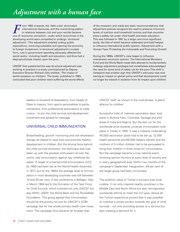## *Adjustment with a human face*

From 1982 onwards, the 'debt crisis' dominated<br>
international discourse, and the overarching pattern<br>
in relations between rich and poor worlds became<br>
one of 'economic correction', under which economies in the Trom 1982 onwards, the 'debt crisis' dominated international discourse, and the overarching pattern in relations between rich and poor worlds became developing world were compelled to undergo 'structural adjustment'. This adjustment entailed cutting public expenditure, removing subsidies and opening the economy to foreign investment. In structural adjustment's crudest form, cuts in government spending adversely affected the social sector, including health and education, and thus had a disproportionate impact upon the poor.

UNICEF first questioned the way structural adjustment was working in practice in a study commissioned by Deputy Executive Director Richard Jolly entitled, 'The impact of world recession on children'. The study, published in 1983, concluded that poor children were suffering the worst effects of the recession and made two basic recommendations: that adjustment policies recognize the need to preserve minimum levels of nutrition and household income; and that countries place a safety net under child health and basic education. This was followed in 1987 by a larger and more significant study, the title of which became celebrated and itself helped to influence international public opinion: *Adjustment with a Human Face: Protecting the Vulnerable and Promoting Growth.* 

During the 1980s, UNICEF's view began to influence mainstream economic opinion. The International Monetary Fund and the World Bank made little attempt to fundamentally redesign adjustment packages but nonetheless acknowledged the need for some kind of safety net for the poor.This shift in viewpoint was another sign that UNICEF's advocacy was now having an impact on global policy and that development could no longer be viewed in isolation from its impact upon children.

leaders to Goodwill Ambassadors, from Heads of State to mayors, from sports personalities to parliamentarians, from professional associations to trade unions – to join the child survival and development movement and spread its message.

### UNIVERSAL CHILD IMMUNIZATION

Breastfeeding, growth monitoring and oral rehydration therapy all helped to save lives and promote healthy development in children. But the driving force behind the child survival revolution, the technique that was taken up with the greatest enthusiasm all over the world, was immunization against key childhood diseases. A target of universal child immunization (UCI) by 1990 had been set at the World Health Assembly in 1977, but by the 1980s the average level of immunization in most developing countries was still between 10 and 20 per cent. A key conference in Bellagio, Italy, in March 1984 led to the formation of the Task Force for Child Survival, which involved not only UNICEF but also WHO, UNDP, the World Bank and the Rockefeller Foundation. This group agreed that immunization should be the priority not just for UNICEF's GOBI campaign but for the whole primary health care movement. The campaign thus became far broader than

UNICEF itself, as shown in the vivid phrase, 'a grand alliance for children'.

Successful trials of 'national vaccination days' took place in Burkina Faso, Colombia, Senegal and pilot areas of India and Nigeria. But the test run for the worldwide drive towards universal immunization took place in Turkey in 1985. It was a massive undertaking: 45,000 vaccination posts had to be set up; 12,000 health personnel and 65,000 helpers trained; and the mothers of 5 million children had to be persuaded to bring their children in three times for immunization. But the campaign became a truly national event, involving opinion-formers at every level of society and in every geographical area. Within two months of the campaign's September inauguration, 84 per cent of the target group had been immunized.

The publicity value of Turkey's success was incalculable. It not only inspired nearby countries in the Middle East and North Africa but also reinvigorated worldwide efforts to meet the UCI goal. Above all, the Turkish experience proved that it was possible to mobilize a whole society towards the goal of child survival – not only providing access to a service but also creating a demand for it.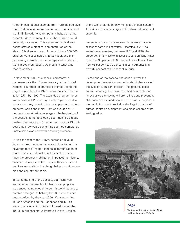Another inspirational example from 1985 helped give the UCI drive even more momentum. The bitter civil war in El Salvador was temporarily halted on three separate 'days of tranquility' so that children could be safely vaccinated. This ceasefire for children's health offered a practical demonstration of the idea of 'children as zones of peace'. Some 250,000 children were vaccinated in El Salvador, and this pioneering example was to be repeated in later civil wars in Lebanon, Sudan, Uganda and what was then Yugoslavia.

In November 1985, at a special ceremony to commemorate the 40th anniversary of the United Nations, countries recommitted themselves to the target originally set in 1977 – universal child immunization (UCI) by 1990. The expanded programme on immunization (EPI) was vigorously implemented in many countries, including the most populous nations on earth, China and India. From an average of 15 per cent immunization coverage at the beginning of the decade, some developing countries had already pushed their rates to 60 per cent or more by 1985. A goal that a few years earlier had seemed completely unattainable was now within striking distance.

During the rest of the 1980s, scores of developing countries conducted an all-out drive to reach a coverage rate of 75 per cent child immunization or more. This international effort, described as perhaps the greatest mobilization in peacetime history, succeeded in spite of the major cutbacks in social services necessitated by the global economic recession and adjustment crisis.

Towards the end of the decade, optimism was warranted on several fronts. Nutritional progress was encouraging enough to permit world leaders to establish the goal of halving the 1990 rate of child undernutrition by the year 2000. Many countries in Latin America and the Caribbean and in Asia were improving child nutrition. Indeed, during the 1980s, nutritional status improved in every region

of the world (although only marginally in sub-Saharan Africa), and in every category of undernutrition except anaemia.

Moreover, extraordinary improvements were made in access to safe drinking water. According to WHO's end-of-decade review, between 1981 and 1990, the proportion of families with access to safe drinking water rose from 38 per cent to 66 per cent in southeast Asia, from 66 per cent to 79 per cent in Latin America and from 32 per cent to 45 per cent in Africa.

By the end of the decade, the child survival and development revolution was estimated to have saved the lives of 12 million children. This great success notwithstanding, the movement had never taken as its exclusive aim saving children's lives and preventing childhood disease and disability. The wider purpose of the revolution was to revitalize the flagging cause of human-centred development and place children at its leading edge.



*1984*

Fighting famine in the Horn of Africa and Sahel regions. *Ethiopia.*

SIXTY YEARS FOR CHILDREN 19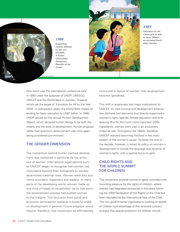

### *1988*

Supporting children affected by war and HIV/AIDS. *A former child soldier, Democratic Republic of the Congo.* 



### *1989*

'Education for All' means girls as well as boys. *'Meena', an animated South Asian heroine.* 

One result was the international conference held in 1990 under the auspices of UNDP, UNESCO, UNICEF and the World Bank in Jomtien, Thailand, which set the target of 'Education for All by the Year 2000'. In subsequent years, the World Bank tripled its lending for basic education to US\$1 billion. In 1990, UNDP issued its fi rst annual *Human Development Report*, which declared human beings to be both the means and the ends of development. Human progress rather than economic advancement was once again being considered pre-eminent.

### THE GENDER DIMENSION

The momentum behind human-centred development was sustained in particular by the activities of women. International organizations such as UNICEF began to recognize that women had importance beyond their biologically or socially determined maternal roles: Women were also economic providers, organizers and leaders. In many parts of the developing world, women made up one third of heads of households. Up to that point, the development process had pushed women to the margins. This exclusion from social and economic participation acted as a powerful brake on development in general. Future progress would require, therefore, that investment be affirmatively structured in favour of women: that development become 'gendered'.

This shift in awareness had major implications for UNICEF. Its child survival and development prescription did have two elements that directly supported a women's rights agenda: female education and birth spacing. But for the much more important GOBI ingredients, women were cast in an exclusively maternal role. Throughout the 1980s, therefore, UNICEF resisted becoming involved in the mainstream of the women's cause. Towards the end of the decade, however, it recast its policy on women in development to include the language and dynamic of women's rights, with a special focus on girls.

### CHILD RIGHTS AND THE WORLD SUMMIT FOR CHILDREN

The movement towards women's rights coincided with mounting pressure for the rights of children, where interest had stagnated somewhat in the years following the 1959 Declaration of the Rights of the Child but been rekindled by the International Year of the Child. The non-governmental organizations working on behalf of children took advantage of this renewed concern to argue that special protection for children should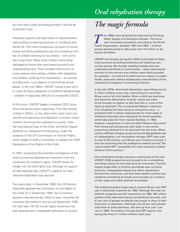## *Oral rehydration therapy*

be more than a high-sounding principle: It should be *The magic formula* enshrined in law.

Population growth and rapid rates of industrialization were putting increasing pressures on childhood and family life. The most conspicuous symptom of social stress and family breakdown was the increasing number of children working on city streets – with some also living there. Many other children were being damaged by forces that went beyond poverty and underdevelopment. They included child victims of mass violence and warfare, children with disabilities and children suffering from exploitation – as workers and labourers, or as objects of commercial sexual abuse. In the mid-1980s, UNICEF coined a new term to cover all these categories of childhood disadvantage – children in especially difficult circumstances (CEDC).

At this point, UNICEF began to analyse CEDC situations and evolve policy responses. The international children's NGOs, on the other hand, were more concerned with advocacy and legislation to protect these children and bring their exploiters to justice. After the International Year of the Child, the NGOs helped establish an intergovernmental group, under the auspices of the UN Commission on Human Rights, which began to draft a convention to replace the 1959 Declaration of the Rights of the Child.

In 1987, recognizing the potential convergence of the child survival and development revolution with the movement for children's rights, UNICEF threw its weight into the child rights ring. Although its support arrived relatively late, UNICEF's capacity for international mobilization was decisive.

Two years later, in November 1989, the UN General Assembly adopted the Convention on the Rights of the Child. On 2 September 1990, the Convention became international law. Within a year, more than 90 countries had ratified it, and by end-September 1995, the total was 179. No human rights convention has ever attained such widespread ratification so quickly.

**The 1980s were declared the International Drinking<br>Water Supply and Sanitation Decade. This focus<br>was immensely successful: according to the World<br>Health Organization, between 1981 and 1990, 1.2 billion** Water Supply and Sanitation Decade. This focus was immensely successful: according to the World Health Organization, between 1981 and 1990, 1.2 billion people gained access to safe water and 770 million to adequate sanitation.

UNICEF had already during the 1970s contributed to these improvements by drilling boreholes and installing community pumps. But though installing handpumps was undeniably beneficial to communities - vastly reducing the amount of time women and children spent fetching water, for example – it could not by itself have an impact on public health, especially without widespread understanding of the importance of hygiene in preventing infection.

In the late 1970s, diarrhoeal dehydration was killing around 5 million children every year, accounting for more than 30 per cent of all child deaths. When a child has diarrhoea and becomes dehydrated, its body rushes any water drunk through its system so fast that little or none of the liquid is absorbed. The conventional Western treatment is to rehydrate the body using an intravenous drip – a procedure that is clearly inappropriate for most cases of childhood diarrhoea and impractical for those episodes which take place far from medical facilities. In 1968, however, researchers in India and East Pakistan discovered that mixing salt and glucose with water in the correct proportions allowed it to be absorbed into the body. When cholera afflicted refugee camps during the Bangladeshi war of independence, oral rehydration therapy (ORT) was used to treat 3,700 victims, over 96 per cent of whom survived. It was not surprising that the prestigious medical journal *The Lancet* called ORT "potentially the most important medical advance of this century."

Oral rehydration therapy became a central part of the new UNICEF GOBI programme and proved to be a compelling recruiting vehicle for the child survival movement. That the largest single killer of children worldwide was not some powerful, unstoppable disease but rather dehydration derived from diarrhoea, and that these deaths could be prevented by something as simple and everyday as a mixture of salt, sugar and water seemed remarkable.

The ambitious global target was to achieve 50 per cent ORT use in diarrhoeal treatment by 1989. Although this was not attained, progress was still impressive: by 1990, 350 million packets of the salts were being manufactured annually, and 61 per cent of people worldwide had access to them in their local clinic or pharmacy. Although only 32 per cent actually used them to treat diarrhoea, this was up from just 1 per cent in 1980. The bottom line was that ORT was by now saving the lives of 1 million children each year.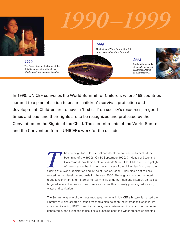

# *1990–1999*

*1990* The Convention on the Rights of the Child becomes international law. *Children rally for children, Ecuador.*

*1990*

The first-ever World Summit for Children. *UN Headquarters, New York.*

© UNICEF/HQ90-0117/Mera

*1992* Tending the wounds of war. *Psychosocial assistance, Bosnia and Herzegovina.*



In 1990, UNICEF convenes the World Summit for Children, where 159 countries commit to a plan of action to ensure children's survival, protection and development. Children are to have a 'first call' on society's resources, in good times and bad, and their rights are to be recognized and protected by the Convention on the Rights of the Child. The commitments of the World Summit and the Convention frame UNICEF's work for the decade.

> **THE CONDENSIGN SURVEY OF A THE CONDENSIGNARY OF A DEGENDING A GOVERnment took their seats at a World Summit for Children. The highler of the occasion, held under the auspices of the UN in New York, was the signing of a Wo** beginning of the 1990s. On 30 September 1990, 71 Heads of State and Government took their seats at a World Summit for Children. The highlight of the occasion, held under the auspices of the UN in New York, was the related human development goals for the year 2000. These goals included targeted reductions in infant and maternal mortality, child undernutrition and illiteracy, as well as targeted levels of access to basic services for health and family planning, education, water and sanitation.

The Summit was one of the most important moments in UNICEF's history. It marked the juncture at which children's issues reached a high point on the international agenda. Its sponsors, including UNICEF and its partners, were determined to sustain the momentum generated by the event and to use it as a launching pad for a wider process of planning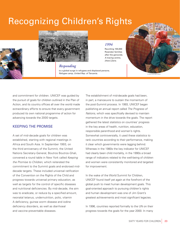# Recognizing Children's Rights



#### *Responding*

to a global surge in refugees and displaced persons. *Refugee camp, United Rep. of Tanzania.*



Reuniting 100,000 Rwandan families after the genocide. *A tracing centre, [then] Zaire.* 



and commitment for children. UNICEF was guided by the pursuit of goals for children outlined in the Plan of Action, and its country offices all over the world made extraordinary efforts to ensure that every government produced its own national programme of action for advancing towards the 2000 targets.

### KEEPING THE PROMISE

© UNICEF/HQ95-0499/LeMoyne

A set of mid-decade goals for children was established, starting with regional meetings in Africa and South Asia. In September 1993, on the third anniversary of the Summit, the United Nations Secretary-General, Boutros Boutros-Ghali, convened a round table in New York called *Keeping the Promise to Children*, which reiterated the commitment to the Summit goals and endorsed middecade targets. These included universal ratification of the Convention on the Rights of the Child and progress towards universal primary education, as well as targets for the control of specific diseases and nutritional deficiencies. By mid-decade, the aim was to eradicate, or reduce by a specified amount, neonatal tetanus, undernutrition, polio, vitamin A deficiency, guinea worm disease and iodine deficiency disorders, as well as diarrhoeal and vaccine-preventable diseases.

The establishment of mid-decade goals had been, in part, a manoeuvre to sustain the momentum of the post-Summit process. In 1993, UNICEF began publishing an annual report called *The Progress of Nations*, which was specifically devised to maintain momentum in the drive towards the goals. The report gathered the latest statistics on countries' progress in the key areas of health, nutrition, education, responsible parenthood and women's rights. Somewhat controversially, it used these statistics to rank countries according to their performance, making it clear which governments were lagging behind. Whereas in the 1980s the key indicator for UNICEF had clearly been child mortality, in the 1990s a broad range of indicators related to the well-being of children and women were consistently monitored and targeted for improvement.

In the wake of the World Summit for Children, UNICEF found itself yet again at the forefront of the global push to meet human development goals. This goal-oriented approach to pursuing children's rights and human development was one of Jim Grant's greatest achievements and most significant legacies.

In 1996, countries reported formally to the UN on their progress towards the goals for the year 2000. In many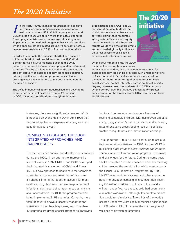## *The 20/20 Initiative*

In the early 1990s, financial requirements to achieve<br>
universal coverage of basic social services were<br>
estimated at about US\$136 billion per year – around<br>
US\$70 billion to US\$80 billion more than actual spending. n the early 1990s, financial requirements to achieve universal coverage of basic social services were estimated at about US\$136 billion per year – around Developing countries were, on average, allocating about 13 per cent of their national budgets to basic social services, while donor countries devoted around 10 per cent of official development assistance (ODA) to finance these services.

In order to eliminate the financial shortfall and ensure a minimum level of basic social services, the 1995 World Summit for Social Development launched the 20/20 Initiative, a compact between developing and industrialized countries. The 20/20 Initiative focused on the effective and efficient delivery of basic social services (basic education, primary health care, nutrition programmes and safe drinking water and sanitation) to the poor and vulnerable members of society.

The 20/20 Initiative called for industrialized and developing country partners to allocate on average 20 per cent of ODA, including contributions through multilateral

organizations and NGOs, and 20 per cent of national budgets (net of aid), respectively, to basic social services, using these resources with greater efficiency and equity. It was believed that the 20 per cent targets would yield the approximate amount needed globally to finance universal access to basic social services in developing countries.

On the government's side, the 20/20 Initiative focused on how resources

social services.

were allocated and argued that adequate resources for basic social services can be provided even under conditions of fiscal constraint. Particular emphasis was placed on the need for better monitoring of expenditures on basic social services, so that interested parties could set specific targets, increase resources and establish 20/20 compacts. On the donors' side, the initiative advocated for greater

**The 20/20** 

**initiative** 

concentration of the already scarce ODA resources on basic

instances, there were significant advances. WHO announced on World Health Day in April 1995 that 146 countries had not experienced a single case of polio for at least a year.

### COMBATING DISEASES THROUGH INTEGRATED APPROACHES AND **PARTNERSHIPS**

The focus on child survival and development continued during the 1990s. In an attempt to improve child survival levels, in 1992 UNICEF and WHO developed the Integrated Management of Childhood Illness (IMCI), a new approach to health care that combines strategies for control and treatment of five major childhood ailments that together account for most deaths among children under five: respiratory tract infections, diarrhoeal dehydration, measles, malaria and undernutrition. By 1998, the programme was being implemented in 58 countries. Currently, more than 80 countries have successfully adopted the initiative into their health systems, and more than 40 countries are giving special attention to improving

family and community practices as a key way of reaching vulnerable children. IMCI has proven effective in improving children's nutritional status and increasing rates of exclusive breastfeeding, use of insecticidetreated mosquito nets and immunization coverage.

Throughout the 1990s, UNICEF continued to scale up its immunization initiatives. In 1996, it joined WHO in publishing *State of the World's Vaccines and Immunization*, a review of immunization progress, constraints and challenges for the future. During the same year, UNICEF supplied 1.2 billion doses of vaccines reaching children around the world, half of which went towards the Global Polio Eradication Programme. By 1998, UNICEF was providing vaccines and other support to polio immunization campaigns in 97 countries, reaching 450 million children, two thirds of the world's children under five. As a result, polio had been nearly eliminated worldwide – although its complete eradication would remain elusive. Two thirds of the world's children under five were again immunized against polio in 1999, when UNICEF became the main supplier of vaccines to developing countries.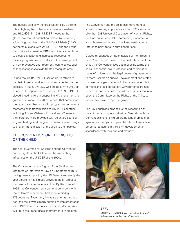The decade also saw the organization play a strong role in fighting two other major diseases: malaria and HIV/AIDS. In 1998, UNICEF moved to the global forefront of combating malaria by becoming a founding member of the Roll Back Malaria (RBM) partnership, along with WHO, UNDP and the World Bank. Since its creation, RBM has directly contributed to global advocacy and increased resources for malaria programmes, as well as to the development of new preventive and treatment technologies, such as long-lasting insecticide-treated mosquito nets.

During the 1990s, UNICEF scaled up its efforts to combat HIV/AIDS and assist children affected by the disease. In 1996, UNAIDS was created, with UNICEF as one of the agency's co-sponsors. In 1999, UNICEF played a leading role in supporting HIV prevention programmes in more than 20 countries. That same year, the organization backed a pilot programme to prevent mother-to-child transmission of HIV in 11 countries, including 9 in sub-Saharan Africa alone. Women and their partners were provided with voluntary counselling and testing, and pregnant women received drugs to prevent transmission of the virus to their babies.

### THE CONVENTION ON THE RIGHTS OF THE CHILD

The World Summit for Children and the Convention on the Rights of the Child were the overarching influences on the UNICEF of the 1990s.

The Convention on the Rights of the Child entered into force as international law on 2 September 1990, having been adopted by the UN General Assembly the year before. It had already proved to be an effective framework for international action. By the close of 1995, the Convention, as it came to be known within the children's movement, had been ratified by 179 countries. Even then, five years after its introduction, the focus was already shifting to implementation, with UNICEF and partners encouraging all countries to live up to their most basic commitments to children.

The Convention and the children's movement assumed increasing importance as the 1990s wore on. Like the 1948 Universal Declaration of Human Rights, the Convention articulated something fundamental about humanity's sense of itself and established a reference point for all future generations.

Guided throughout by the principles of 'non-discrimination' and 'actions taken in the best interests of the child', the Convention lays out in specific terms the social, economic, civil, protection and participation rights of children and the legal duties of governments to them. Children's survival, development and protection are no longer matters of charitable concern but of moral and legal obligation. Governments are held to account for their care of children by an international body, the Committee on the Rights of the Child, to which they have to report regularly.

The key underlying advance is the recognition of the child as a complete individual. Seen through the Convention's lens, children are no longer objects of sympathy or subjects of parental rule, but are active, empowered actors in their own development in accordance with their age and maturity.



UNICEF and UNESCO invent the 'school-in-a-box'. *Refugee camp, United Rep. of Tanzania.*

*1994*

 $S_{\rm 2D}$  is the children 25  $\mu$  years  $S_{\rm 2D}$  and  $S_{\rm 2D}$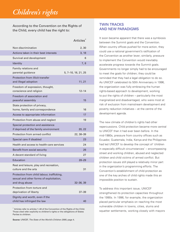## *Children's rights*

According to the Convention on the Rights of the Child, every child has the right to:

|                                                                                                         | Articles <sup>*</sup> |
|---------------------------------------------------------------------------------------------------------|-----------------------|
| Non-discrimination                                                                                      | 2, 30                 |
| Actions taken in their best interests                                                                   | 3, 18                 |
| Survival and development                                                                                | 6                     |
| <b>Identity</b>                                                                                         | 7,8                   |
| Family relations and<br>parental guidance                                                               | 5, 7–10, 18, 21, 25   |
| Protection from illicit transfer<br>and illegal adoption                                                | 11, 21                |
| Freedom of expression, thought,<br>conscience and religion                                              | $12 - 14$             |
| Freedom of association and<br>peaceful assembly                                                         | 15                    |
| State protection of privacy,<br>home, family and correspondence                                         | 16                    |
| Access to appropriate information                                                                       | 17                    |
| Protection from abuse and neglect                                                                       | 19                    |
| Special protection and assistance<br>if deprived of the family environment                              | 20, 22                |
| Protection from armed conflict                                                                          | 22, 38–39             |
| Special care if disabled                                                                                | 23                    |
| Health and access to health-care services                                                               | 24                    |
| Benefit from social security                                                                            | 26                    |
| A decent standard of living                                                                             | 27                    |
| Education                                                                                               | 28–29                 |
| Rest and leisure, play and recreation,<br>culture and the arts                                          | 31                    |
| Protection from child labour, trafficking,<br>sexual and other forms of exploitation,<br>and drug abuse | 32–36, 39             |
| Protection from torture and<br>deprivation of liberty                                                   | 37–39                 |
| Dignity and worth, even if the<br>child has infringed the law                                           | 40                    |

\* Articles refer to articles 1–40 of the Convention of the Rights of the Child. Those cited refer explicitly to children's rights or the obligations of States Parties to children.

**Source:** UNICEF, *The State of the World's Children 2005*, page 4.

### TWIN TRACKS AND NEW PARADIGMS

It soon became apparent that there was a symbiosis between the Summit goals and the Convention. When country offices pushed for more action, they could use a national government's ratification of the Convention as another lever; similarly, pressure to implement the Convention would inevitably accelerate progress towards the Summit goals. Governments no longer simply had to be encouraged to meet the goals for children; they could be reminded that they had a legal obligation to do so. As UNICEF celebrated its 50th Anniversary in 1996, the organization was fully embracing the human rights-based approach to development, working to put the rights of children – particularly the most marginalized and disadvantaged, who were most at risk of exclusion from mainstream development and poverty reduction initiatives – at the centre of the development agenda.

The new climate of children's rights had other repercussions. Child protection became more central to UNICEF than it had ever been before. In the mid-1980s, pressure from country offices such as Ecuador, Guatemala, India, Kenya and the Philippines had led UNICEF to develop the concept of 'children in especially difficult circumstances' – encompassing street and working children, abused and neglected children and child victims of armed conflict. But protection issues still played a relatively minor part in the organization's programming efforts. The Convention's establishment of child protection as one of the key arches of child rights made this an impossible position to sustain.

To address this important issue, UNICEF strengthened its protection capacities throughout the 1990s. In 1996, for example, the organization placed particular emphasis on reaching the most vulnerable children in towns, cities, slums and squatter settlements, working closely with mayors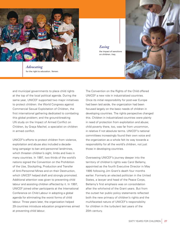

*Advocating* for the right to education. *Yemen.* 

*Easing* the impact of sanctions on children. *Iraq.*



and municipal governments to place child rights at the top of the local political agenda. During the same year, UNICEF supported two major initiatives to protect children: the World Congress against Commercial Sexual Exploitation of Children, the first international gathering dedicated to combating this global problem; and the ground-breaking UN study on the Impact of Armed Conflict on Children, by Graça Machel, a specialist on children in armed conflict.

UNICEF's efforts to protect children from violence, exploitation and abuse also included a decadelong campaign to ban anti-personnel landmines, which threaten children's sight, limbs and lives in many countries. In 1997, two thirds of the world's nations signed the Convention on the Prohibition of the Use, Stockpiling, Production and Transfer of Anti-Personnel Mines and on their Destruction, which UNICEF helped draft and strongly promoted. Additional attention was given to preventing child labour and assisting children affected by it. In 1997, UNICEF joined other participants at the International Conference on Child Labour in adopting a global agenda for eliminating the worst forms of child labour. Three years later, the organization helped 29 countries introduce education programmes aimed at preventing child labour.

The Convention on the Rights of the Child offered UNICEF a new role in industrialized countries. Once its initial responsibility for post-war Europe had been laid aside, the organization had been focused largely on the basic needs of children in developing countries. The rights perspective changed this. Children in industrialized countries were plainly in need of protection from exploitation and abuse; child poverty there, too, was far from uncommon, in relative if not absolute terms. UNICEF's national committees increasingly found their own voice and the organization as a whole felt its way towards a responsibility for all the world's children, not just those in developing countries.

Overseeing UNICEF's journey deeper into the territory of children's rights was Carol Bellamy, appointed as the fourth Executive Director in May 1995 following Jim Grant's death four months earlier. Formerly an elected politician in the United States, a lawyer and head of the Peace Corps, Bellamy's first emphasis was on consolidation after the whirlwind of the Grant years. But from the outset her public policy statements reflected both the new primacy of children's rights and the multifaceted nature of UNICEF's responsibility for children in the turbulent last years of the 20th century.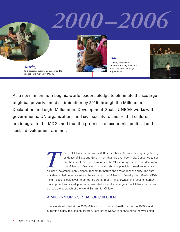# *2000–2006*

*Striving* to eradicate poverty and hunger and to reduce child mortality. *Malawi.*

© UNICEF/HQ02-0257/Vitale



*2002* Working to achieve universal primary education. *Back-to-school campaign, Afghanistan.*



As a new millennium begins, world leaders pledge to eliminate the scourge of global poverty and discrimination by 2015 through the Millennium Declaration and eight Millennium Development Goals. UNICEF works with governments, UN organizations and civil society to ensure that children are integral to the MDGs and that the promises of economic, political and social development are met.

> **THE UN Millennium Summit of 6–8 September 2000 was the largest gathering** of Heads of State and Government that had ever been held. Convened to set out the role of the United Nations in the 21st century, its outcome docum of Heads of State and Government that had ever been held. Convened to set out the role of the United Nations in the 21st century, its outcome document, the Millennium Declaration, adopted six core principles: freedom, equity and mit also settled on what came to be known as the Millennium Development Goals (MDGs) – eight specific objectives to be met by 2015. In both its overwhelming focus on human development and its adoption of time-limited, quantifiable targets, the Millennium Summit echoed the approach of the World Summit for Children.

### A MILLENNIUM AGENDA FOR CHILDREN

The agenda adopted at the 2000 Millennium Summit and reaffirmed at the 2005 World Summit is highly focused on children. Each of the MDGs is connected to the well-being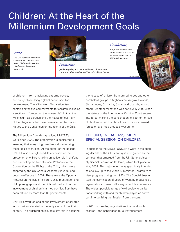## Children: At the Heart of the Millennium Development Goals

### *2002*

The UN Special Session on Children. For the first time *ever, children address the UN General Assembly, New York.*



*Promoting*

gender equality and maternal health. *A woman is comforted after the death of her child, Sierra Leone.*

### *Combating*

HIV/AIDS, malaria and other diseases. *Orphans whose mother died of HIV/AIDS, Lesotho.* 

© UNICEF/HQ02-0566/Pirozzi

of children – from eradicating extreme poverty and hunger to building a global partnership for development. The Millennium Declaration itself contains extensive commitments for children, including a section on "protecting the vulnerable". In this, the Millennium Declaration and the MDGs reflect many of the obligations that have been adopted by States Parties to the Convention on the Rights of the Child.

The Millennium Agenda has guided UNICEF's work since 2000. The organization is dedicated to ensuring that everything possible is done to bring these goals to fruition. At the outset of the decade, UNICEF also strengthened its advocacy for the protection of children, taking an active role in drafting and promoting the two Optional Protocols to the Convention on the Rights of the Child, which were adopted by the UN General Assembly in 2000 and became effective in 2002. These were the Optional Protocol on the sale of children, child prostitution and child pornography and the Optional Protocol on the involvement of children in armed conflict. Both have been ratified by more than 80 governments.

UNICEF's work on ending the involvement of children in combat accelerated in the early years of the 21st century. The organization played a key role in securing the release of children from armed forces and other combatant groups in Afghanistan, Angola, Rwanda, Sierra Leone, Sri Lanka, Sudan and Uganda, among others. Another milestone was set in July 2002 when the statute of the International Criminal Court entered into force, making the conscription, enlistment or use of children under 15 in hostilities by national armed forces or by armed groups a war crime.

### THE UN GENERAL ASSEMBLY SPECIAL SESSION ON CHILDREN

In addition to the MDGs, UNICEF's work in the opening decade of the 21st century is also guided by the compact that emerged from the UN General Assembly Special Session on Children, which took place in May 2002. This major event was specifically intended as a follow-up to the World Summit for Children to review progress during the 1990s. The Special Session was the culmination of years of work by thousands of organizations. It was unlike any other UN conference. The widest possible range of civil society organizations working with and for children played an active part in organizing the Session from the start.

In 2001, six leading organizations that work with children – the Bangladesh Rural Advancement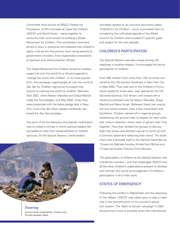Committee (now known as BRAC), Netaid.org Foundation, PLAN International, Save the Children, UNICEF and World Vision – came together to announce their commitment to building a Global Movement for Children. This worldwide movement aimed to draw in everyone who believed that children's rights must be the first priority, from caring parents to government ministers, from responsible corporations to teachers and child protection officers.

The Global Movement for Children aimed to mobilize support all over the world for a 10-point agenda to 'change the world with children'. In its most popular form, this campaign urged people all over the world to *Say Yes for Children*, signing up to support key actions to improve the world for children. Between April 2001, when Nelson Mandela and Graça Machel made the first pledges, and May 2002, when they were presented with the latest pledge tally in New York, more than 94 million people worldwide had joined the *Say Yes* campaign.

The point of all this advocacy and popular mobilization was to create a climate in which political leaders felt compelled to take their responsibilities to children seriously. At the Special Session, world leaders



*Ensuring*  environmental sustainability. *Children pick through garbage, Nepal.* 

30 SIXTY YEARS FOR CHILDREN

ultimately agreed on an outcome document called 'A World Fit for Children', which committed them to completing the unfinished agenda of the World Summit for Children and included 21 specific goals and targets for the next decade.

### CHILDREN'S PARTICIPATION

The Special Session was also unique among UN meetings in another respect: It encouraged the active participation of children.

Over 400 children from more than 150 countries convened at the UN General Assembly in New York City in May 2002. They took part in the Children's Forum, which lasted for three days, was opened by the UN Secretary-General, Kofi Annan, and closed with a ceremony presided over by Nelson Mandela, Graça Machel and Nane Annan. Between these two events, the only adults present were a few interpreters and facilitators. Children started off in regional groups, establishing the ground rules of respect for each other and 'unity in diversity' which were to govern their time together. They then divided into groups to discuss eight key issues and elected a group to come up with a common statement reflecting their views. The statement was eventually read to the General Assembly by 13-year-old Gabriela Azurduy Arrieta from Bolivia and 17-year-old Audrey Cheynut from Monaco.

The participation of children at the Special Session was a landmark moment – one that challenged UNICEF and all the other children's organizations present to develop and maintain this active encouragement of children's participation in all of their work.

### STATES OF EMERGENCY

Following the conflict in Afghanistan and the deposing of the Taliban, UNICEF was called upon to play a major role in the reconstruction of the country's education system. The 'Back to School' campaign in 2002 showed how much is possible when the international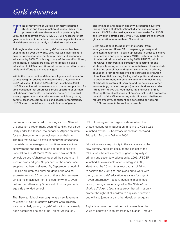### *Girls' education*

**T** he achievement of universal primary education (MDG 2) and the elimination of gender disparity in primary and secondary education, preferably by 2005, and at all levels by 2015 (MDG 3), will necessitate that (MDG 2) and the elimination of gender disparity in primary and secondary education, preferably by governments and international donors and agencies include all children who are currently excluded from education.

Although evidence shows that girls' education has been expanding all over the world, progress was insufficient to ensure universal gender parity in primary and secondary education by 2005. To this day, many of the world's children, the majority of whom are girls, do not receive a basic education. In 2005 alone, 54 countries were found to require additional efforts to achieve this goal.

Within the context of the Millennium Agenda and in an effort to advance girls' education indicators, the United Nations Girls' Education Initiative (UNGEI) was launched in 2000. UNGEI is a universal movement and an important platform for girls' education that embraces a broad spectrum of partners, including governments, UN agencies, donors, NGOs, civilsociety organizations, the private sector, religious groups, parents, teachers, communities and student organizations. UNGEI aims to contribute to the elimination of gender

discrimination and gender disparity in education systems through action at global, national, district and community levels. UNICEF is the lead agency and secretariat for UNGEI, and is working strategically with UNGEI partners to promote girls' education in more than 100 countries.

Girls' education is facing many challenges, from emergencies and HIV/AIDS to deepening poverty and persistent disparities. To scale up actions in order to achieve the education and gender parity MDGs, including the target of universal primary education by 2015, UNICEF, within the UNGEI partnership, is currently advocating for and strategically acting on a number of initiatives. These include abolishing school fees and other user charges in primary education; promoting massive and equitable distribution of an 'Essential Learning Package' of supplies and services to boost enrolment and enhance quality; and making use of schools as centres of learning and for delivery of other services (e.g., care and support) where children are under threat from HIV/AIDS, food insecurity and social unrest. Meeting these objectives is not an easy task, but it embraces the spirit of the Millennium Agenda. Universal challenges require effective, consistent and concerted partnership. UNGEI can prove to be such an example.

community is committed to tackling a crisis. Starved of education through many years of conflict, but particularly under the Taliban, the hunger of Afghan children for the chance to go to school was overwhelming. The role that UNICEF played in supplying educational materials under emergency conditions was a unique achievement, the largest such operation it had ever undertaken. On 23 March 2002, when around 3,000 schools across Afghanistan opened their doors to millions of boys and girls, 93 per cent of the educational supplies had been delivered. By September, a total of 3 million children had enrolled, double the original estimate. Around 30 per cent of these children were girls, a major achievement in a country where, even before the Taliban, only 5 per cent of primary-schoolage girls attended school.

The 'Back to School' campaign was an achievement of which UNICEF Executive Director Carol Bellamy was particularly proud, for girls' education had already been established as one of her 'signature issues'.

UNICEF was given lead agency status when the United Nations Girls' Education Initiative (UNGEI) was launched by the UN Secretary-General at the World Education Forum in Dakar in 2000.

Education was a key priority in the early years of the new century, not least because the earliest of the MDGs was the achievement of gender equality in primary and secondary education by 2005. UNICEF launched its own acceleration strategy in 2003, identifying the 25 countries most at risk of failing to achieve the 2005 goal and pledging to work with them, treating girls' education as a case for urgent – even emergency – action. Investing in girls' education, the organization argued in *The State of the World's Children 2004*, is a strategy that will not only protect the right of all children to a quality education, but will also jump-start all other development goals.

Afghanistan was the most dramatic example of the value of education in an emergency situation. Through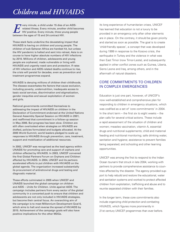## *Children and HIV/AIDS*

**EXECUTE:** Very minute, a child under 15 dies of an AIDS-<br> **EXECUTE:** FIN positive. Every minute, three young peopl<br>
between the ages of 15 and 24 contract HIV. related illness. Every minute, another child becomes HIV positive. Every minute, three young people between the ages of 15 and 24 contract HIV.

These stark facts underline the devastating impact that HIV/AIDS is having on children and young people. The children of sub-Saharan Africa are hardest hit, but unless the HIV pandemic is halted and sent into retreat, Asia is on course to have higher absolute numbers of HIV infections by 2010. Millions of children, adolescents and young people are orphaned, made vulnerable or living with HIV/AIDS and urgently need care and protection. If rates of HIV infection and AIDS-related deaths continue to rise, the crisis will persist for decades, even as prevention and treatment programmes expand.

HIV/AIDS is denying millions of children their childhoods. The disease exacerbates the factors that cause exclusion, including poverty, undernutrition, inadequate access to basic social services, discrimination and stigmatization, gender inequities and sexual exploitation of women and girls.

National governments committed themselves to addressing the impact of HIV/AIDS on children in the Declaration of Commitment endorsed at the United Nations General Assembly Special Session on HIV/AIDS in 2001, and reaffirmed that commitment in a follow-up session in May 2006. But progress has been slow. Children are still often overlooked when strategies on HIV/AIDS are drafted, policies formulated and budgets allocated. At the 2005 World Summit, world leaders pledged to scale up responses to HIV/AIDS through prevention, care, treatment, support and mobilization of additional resources.

In 2002, UNICEF was recognized as the lead agency within UNAIDS for promoting care and support of orphans and children affected by HIV/AIDS. In 2003, UNICEF convened the first Global Partners Forum on Orphans and Children affected by HIV/AIDS. In 2004, UNICEF and its partners accelerated efforts to put children with HIV/AIDS on the global agenda. The organization increased substantially its procurement of antiretroviral drugs and testing and diagnostic material.

These efforts culminated in 2005 when UNICEF and UNAIDS launched the global campaign on children and AIDS – *Unite for Children. Unite against AIDS*. The campaign includes partners from every sector of the global community in a concerted push to ensure that children and adolescents are not only included in HIV/AIDS strategies, but become their central focus. An overarching aim of the campaign is to meet Millennium Development Goal 6, which aims to halt and reverse the spread of HIV/AIDS by 2015. Achievement of the campaign goals will also have positive implications for the other MDGs.

its long experience of humanitarian crises, UNICEF has learned that education is not a luxury to be provided in an emergency only after other elements are in place. On the contrary, it should be given priority and started as soon as possible. The goal is to create 'child-friendly spaces', a concept that was developed during 1999 in response to the Kosovo crisis, the earthquake in Turkey and the violence in what was then East Timor (now Timor-Leste), and subsequently applied in other conflict zones such as Guinea, Liberia, Sierra Leone and Iraq, among others, and in the aftermath of natural disasters.

### CORE COMMITMENTS TO CHILDREN IN COMPLEX EMERGENCIES

Education is just one part, however, of UNICEF's now well-established and comprehensive plan for responding to children in emergency situations, which was codified as a set of 'core commitments' in 2004. In the short term  $-$  the first six to eight weeks  $-$  the plan calls for several critical actions. These include a rapid assessment of the situation of children and women; measles vaccination, vitamin A, essential drugs and nutritional supplements; child and maternal feeding and nutritional monitoring; safe drinking water, sanitation and hygiene; assistance to prevent families being separated; and schooling and other learning opportunities.

UNICEF was among the first to respond to the Indian Ocean tsunami that struck in late 2004, working with partners to provide comprehensive assistance to countries affected by the disaster. The agency provided support to help rebuild and restore the educational, water and sanitation systems and worked to protect affected children from exploitation, trafficking and abuse and to reunite separated children with their families.

In the longer term, these core commitments also include organizing child protection and combating HIV/AIDS, which figures more prominently in 21st century UNICEF programmes than ever before.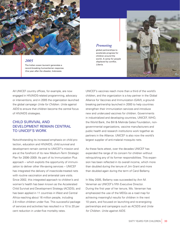

#### *2005*

The Indian ocean tsunami generates a record-breaking humanitarian response. *One year after the disaster, Indonesia.*

### *Promoting*

global partnerships to accelerate progress for children around the world. *A camp for people*   $displaced$  *by conflict, Liberia.*



All UNICEF country offices, for example, are now engaged in HIV/AIDS-related programming, advocacy or interventions, and in 2005 the organization launched the global campaign *Unite for Children. Unite against AIDS* to ensure that children become the central focus of HIV/AIDS strategies.

### CHILD SURVIVAL AND DEVELOPMENT REMAIN CENTRAL TO UNICEF'S WORK

Notwithstanding its increased emphasis on child protection, education and HIV/AIDS, child survival and development remain central to UNICEF's mission and are at the forefront of its new Medium-Term Strategic Plan for 2006–2009. As part of its Immunization Plus approach – which exploits the opportunity of immunization to deliver other life-saving services – UNICEF has integrated the delivery of insecticide-treated nets with routine vaccination and antenatal care visits. Since 2002, this integrated approach to children's and women's health has been known as the Accelerated Child Survival and Development Strategy (ACSDS), and has been applied in 11 countries in West and Central Africa reaching about 16 million people, including 2.8 million children under five. This successful package of services and activities has resulted in a 10 to 20 per cent reduction in under-five mortality rates.

UNICEF's vaccines reach more than a third of the world's children, and the organization is a key partner in the Global Alliance for Vaccines and Immunization (GAVI), a groundbreaking partnership launched in 2000 to help countries strengthen their immunization services and introduce new and underused vaccines for children. Governments in industrialized and developing countries, UNICEF, WHO, the World Bank, the Bill & Melinda Gates Foundation, nongovernmental organizations, vaccine manufacturers and public health and research institutions work together as partners in the Alliance. UNICEF is also now the world's largest supplier of anti-malarial mosquito nets.

As these facts attest, over the decades UNICEF has expanded the range of its concern for children without relinquishing any of its former responsibilities. This expansion has been reflected in its overall income, which more than doubled during the tenure of Jim Grant and more than doubled again during the term of Carol Bellamy.

In May 2005, Bellamy was succeeded by Ann M. Veneman as UNICEF's fifth Executive Director. During the first year of her tenure, Ms. Veneman has emphasized the use of the MDGs as a road map for achieving meaningful results for children in the next 10 years, and focused on launching and re-energizing partnerships and campaigns such as ACSDS and *Unite for Children. Unite against AIDS*.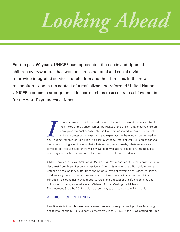*Looking Ahead*

For the past 60 years, UNICEF has represented the needs and rights of children everywhere. It has worked across national and social divides to provide integrated services for children and their families. In the new millennium – and in the context of a revitalized and reformed United Nations – UNICEF pledges to strengthen all its partnerships to accelerate achievements for the world's youngest citizens.

> II a unideal world, UNICEF would not need to exist. In a world that abided by all<br>the articles of the Convention on the Rights of the Child – that ensured children<br>were given the best possible start in life, were educated n an ideal world, UNICEF would not need to exist. In a world that abided by all the articles of the Convention on the Rights of the Child – that ensured children were given the best possible start in life, were educated to their full potential and were protected against harm and exploitation – there would be no need for life proves nothing else, it shows that whatever progress is made, whatever advances in development are achieved, there will always be new challenges and new emergencies, new ways in which the cause of children will need a determined advocate.

UNICEF argued in its *The State of the World's Children* report for 2005 that childhood is under threat from three directions in particular. The rights of over one billion children remain unfulfilled because they suffer from one or more forms of extreme deprivation; millions of children are growing up in families and communities torn apart by armed conflict; and HIV/AIDS has led to rising child mortality rates, sharp reductions in life expectancy and millions of orphans, especially in sub-Saharan Africa. Meeting the Millennium Development Goals by 2015 would go a long way to address these childhood ills.

### A UNIQUE OPPORTUNITY

Headline statistics on human development can seem very positive if you look far enough ahead into the future. Take under-five mortality, which UNICEF has always argued provides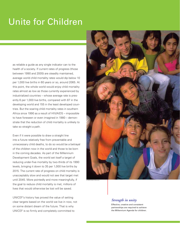# Unite for Children

as reliable a guide as any single indicator can to the health of a society. If current rates of progress (those between 1990 and 2005) are steadily maintained, average world child mortality rates would dip below 10 per 1,000 live births in 60 years or so, around 2065. At this point, the whole world would enjoy child mortality rates almost as low as those currently experienced by industrialized countries – whose average rate is presently 6 per 1,000 live births, compared with 87 in the developing world and 155 in the least developed countries. But the soaring child mortality rates in southern Africa since 1990 as a result of HIV/AIDS – impossible to have foreseen or even imagined in 1980 – demonstrate that the reduction of child mortality is unlikely to take so straight a path.

Even if it were possible to draw a straight line into a future relatively free from preventable and unnecessary child deaths, to do so would be a betrayal of the children now in the world and those to be born in the coming decades. As part of the Millennium Development Goals, the world set itself a target of reducing under-five mortality by two-thirds of its 1990 levels, bringing it down to 35 per 1,000 live births by 2015. The current rate of progress on child mortality is unacceptably slow and would not see that target met until 2045. More pointedly and more meaningfully, if the goal to reduce child mortality is met, millions of lives that would otherwise be lost will be saved.

UNICEF's history has proved the value of setting clear targets based on the world we live in now, not on some distant dream of the future. That is why UNICEF is so firmly and completely committed to



### *Strength in unity*

Effective, creative and consistent partnerships are required to achieve the Millennium Agenda for children.

SIXTY YEARS FOR CHILDREN 35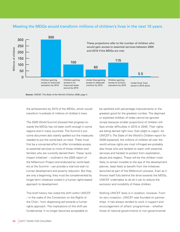### Meeting the MDGs would transform millions of children's lives in the next 10 years



**Source:** UNICEF, *The State of the World's Children 2006*, page 4.

the achievement by 2015 of the MDGs, which would transform hundreds of millions of children's lives.

The 2005 World Summit showed that progress towards the MDGs has not been swift enough in some regions and in many countries. The Summit's outcome document also starkly spelled out the measures needed to put the world back on track. There must first be a concerted effort to offer immediate access to essential services to more of those children and families who are currently denied them. These 'quick impact initiatives' – outlined in the 2005 report of the Millennium Project and endorsed by world leaders at the Summit – can provide a vital kick-start to human development and poverty reduction. But they are only a beginning; they must be complemented by longer-term initiatives rooted in a human rights-based approach to development.

This brief history has noted the shift within UNICEF – in the wake of the Convention on the Rights of the Child – from dispensing aid towards a human rights approach. The implications of this shift are fundamental. It no longer becomes acceptable to

be satisfied with percentage improvements or the greatest good for the greatest number. The deprived or exploited children of today cannot be ignored simply because smaller proportions of children will face similar difficulties in 2015 or 2045. Their rights are being denied right now; their plight is urgent. As UNICEF's *The State of the World's Children* report for 2006 explained, the millions of children all over the world whose rights are most infringed are probably also those who are hardest to reach with essential services and hardest to protect from exploitation, abuse and neglect. These will be the children most likely to remain invisible to the eye of the development planner, least likely to benefit from the initiatives launched as part of the Millennium process. Even as it throws itself fully behind the drive towards the MDGs, UNICEF undertakes to do all it can to reduce the exclusion and invisibility of these children.

Nothing UNICEF does is in isolation, however. From its very inception, UNICEF was founded on partnerships. It has always tended to work in support and encouragement of others' programmes – whether those of national governments or non-governmental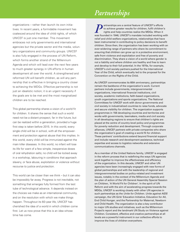### *Partnerships*

organizations – rather than launch its own initiatives. In recent years, a formidable movement has coalesced around the idea of child rights, of which UNICEF is just one member. This movement embraces not only governments and international agencies but the private sector and the media, voluntary organizations and community groups. UNICEF is also fully engaged in the process of UN Reform, which forms another strand of the Millennium Agenda and which will lead over the next few years to much greater synergy in UN efforts in human development all over the world. A strengthened and reformed UN will benefit children, as will any partnership that is effective in bringing a country closer to achieving the MDGs. Effective partnership is not just an idealistic notion; it is an urgent necessity if the goals are to be met and the most marginalized children are to be reached.

This global partnership shares a vision of a world fit for children. It shares the sense that such a world need not be a distant prospect, far in the future, but can be realized within a generation, provided a huge first step is taken before 2015. In this world, every single child will be in school, with all the empowerment and protection against abuse that this implies. In this world, every child will be immunized against the main killer diseases. In this world, no infant will lose its life for want of a few simple, inexpensive doses of oral rehydration salts; no child will be locked away in a workshop, labouring in conditions that approach slavery, or face abuse, exploitation or violence without recourse to justice and protection.

This world can be closer than we think – but it can also be impossibly far away. Progress is not inevitable, not something that emerges fully formed from the test tube of technological advance. It depends instead on the choices we make as an international community, and on the resolution with which we make things happen. Throughout its 60-year life, UNICEF has cherished the idea of a world in which children come first. Let us now prove that this is an idea whose time has come.

artnerships are a central feature of UNICEF's efforts to achieve greater results for children, fulfil children's rights and help countries realize the MDGs. When it was founded in 1946, UNICEF's mandate included working with relief and child welfare organizations, relationships that have been instrumental in contributing to policy decisions to benefit children. Since then, the organization has been working with an ever-widening range of partners who share its commitment to ensuring that children can grow up in a protective environment, safe from violence and exploitation and free of poverty and discrimination. They share a vision of a world where gender is not a liability and where children are healthy and free to learn and develop to their full potential. In the 1970s, for example, UNICEF's civil society partners pushed for the International Year of the Child, which eventually led to the proposal for the Convention on the Rights of the Child.

As UNICEF commemorates its 60th anniversary, partnerships remain the backbone of the organization's work. Current partners include governments, intergovernmental organizations, international financial institutions, civil society, academic institutions, faith-based organizations, youth organizations and sports organizations. The National Committees for UNICEF work with donor governments and civil society in industrialized countries to raise funds, advocate and secure visibility for children. The organization supports programmes in 156 developing countries and territories and works with governments, lawmakers, media and civil society in all developing regions to ensure that children's rights are placed at the centre of country-level policy and programmes for poverty reduction and development. Through corporate alliances, UNICEF partners with private companies who share the organization's goal of creating a world fit for children. These partners' contributions extend beyond financial support and include research and development assistance, technical expertise and access to logistics networks and extensive communications channels.

improve the lives of children everywhere. The state of  $\sim$ As a member of the United Nations family, UNICEF is engaged in the reform process that is redefining the ways UN agencies work together to improve the effectiveness and efficiency of the organization. In this decade, UNICEF and other UN agencies have been increasingly engaged with new forms of global partnerships and with the leadership of regional and intergovernmental bodies on policy-related and investment issues, notably in the context of the Millennium Agenda and the plan of action of the UN General Assembly Special Session on Children, 'A World Fit for Children'. In the spirit of UN Reform and with the aim of accelerating progress towards the MDGs, UNICEF is working closely with other UN agencies in such partnerships as the *Unite for Children. Unite against AIDS* campaign, the UN Girls' Education Initiative, Education for All, End Child Hunger, and the Partnership for Maternal, Newborn and Child Health. The organization is also a key contributor to major UN studies and initiatives, such as the Millennium Project's report and the landmark UN Study on Violence against Children. Consistent, effective and creative partnerships at all levels are a powerful instrument in our collective efforts to